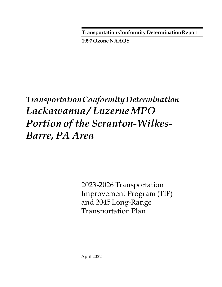**Transportation Conformity Determination Report**

**1997 Ozone NAAQS**

# *Transportation Conformity Determination Lackawanna / Luzerne MPO Portion of the Scranton-Wilkes-Barre, PA Area*

2023-2026 Transportation Improvement Program (TIP) and 2045 Long-Range Transportation Plan

April 2022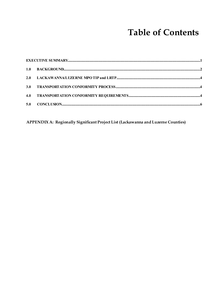## **Table of Contents**

APPENDIX A: Regionally Significant Project List (Lackawanna and Luzerne Counties)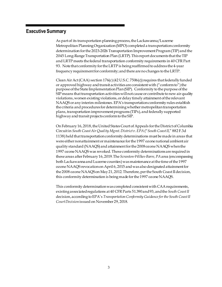### <span id="page-2-0"></span>**Executive Summary**

As part of its transportation planning process, the Lackawanna/Luzerne Metropolitan Planning Organization(MPO) completed a transportation conformity determination forthe 2023-2026 Transportation Improvement Program (TIP) and the 2045 Long-Range Transportation Plan (LRTP). This report documents that the TIP and LRTP meets the federal transportation conformity requirements in 40 CFR Part 93. Note that conformity for the LRTP is being reaffirmed to address the 4-year frequency requirement for conformity; and there are no changes to the LRTP.

Clean Air Act (CAA) section 176(c) (42 U.S.C. 7506(c)) requires that federally funded or approved highway and transit activities are consistent with ("conform to") the purpose of the State Implementation Plan (SIP). Conformity to the purpose of the SIP means that transportation activities will not cause or contribute to new air quality violations, worsen existing violations, or delay timely attainment of the relevant NAAQS or any interim milestones. EPA's transportationconformity rules establish the criteria and procedures for determining whether metropolitan transportation plans, transportation improvement programs (TIPs), and federally supported highway and transit projects conform to the SIP.

On February 16, 2018, the United States Court of Appeals for the District of Columbia Circuit in *South Coast Air Quality Mgmt. District v. EPA*("*South Coast II*," 882 F.3d 1138) held that transportation conformity determinations must be made in areas that were either nonattainment or maintenance for the 1997 ozone national ambient air quality standard (NAAQS) and attainment for the 2008 ozone NAAQS when the 1997 ozone NAAQS was revoked. These conformity determinations are required in these areas after February 16, 2019.The *Scranton-Wilkes-Barre, PA*area (encompassing both Lackawanna and Luzerne counties) was maintenance at the time of the 1997 ozone NAAQS revocation on April 6, 2015 and was also designated attainment for the 2008 ozone NAAQS on May 21, 2012. Therefore, per the South Coast II decision, this conformity determination is being made for the 1997 ozone NAAQS.

This conformity determination was completed consistent with CAA requirements, existing associated regulations at 40 CFR Parts 51.390 and 93, and the *South Coast II* decision, according to EPA's *Transportation Conformity Guidance for the South Coast II Court Decision*issued on November 29, 2018.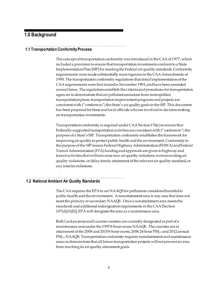### <span id="page-3-0"></span>**1.0 Background**

### **1.1 Transportation Conformity Process**

The concept of transportation conformity was introduced in the CAA of 1977, which included a provision to ensure that transportation investments conform to a State Implementation Plan (SIP) for meeting the Federal air quality standards. Conformity requirements were made substantially more rigorous in the CAA Amendments of 1990. The transportation conformity regulations that detail implementation of the CAA requirements were first issued in November 1993, and have been amended several times. The regulations establish the criteria and procedures for transportation agencies to demonstrate that air pollutant emissions from metropolitan transportation plans, transportation improvement programs and projects are consistent with ("conform to") the State's air quality goals in the SIP. This document has been prepared for State and local officials who are involved in decision making on transportation investments.

Transportation conformity is required under CAA Section 176(c) to ensure that Federally-supported transportation activities are consistent with ("conform to") the purpose of a State's SIP. Transportation conformity establishes the framework for improving air quality to protect public health and the environment. Conformity to the purpose of the SIP means Federal Highway Administration (FHWA) and Federal Transit Administration (FTA) funding and approvals are given to highway and transit activities that will not cause new air quality violations, worsen existing air quality violations, or delay timely attainment of the relevant air quality standard, or any interim milestone.

### **1.2 National Ambient Air Quality Standards**

The CAA requires the EPA to set NAAQS for pollutants considered harmful to public health and the environment. A nonattainment area is any area that does not meet the primary or secondary NAAQS. Once a nonattainment area meets the standards and additional redesignation requirements in the CAA [Section] 107(d)(3)(E)], EPA will designate the area as a maintenance area.

Both Lackawanna and Luzerne counties are currently designated as part of a maintenance area under the 1997 8-hour ozone NAAQS. The counties are in attainment of the 2008 and 2015 8-hour ozone, 2006 24-hour PM2.5 and 2012 annual PM2.5 NAAQS. Transportation conformity requires nonattainment and maintenance areas to demonstrate that all future transportation projects will not prevent an area from reaching its air quality attainment goals.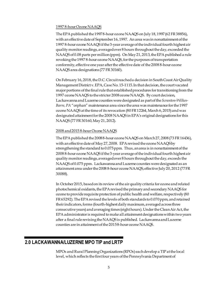#### 1997 8-hour Ozone NAAQS

The EPA published the 1997 8-hour ozone NAAQS on July 18, 1997 (62 FR 38856), with an effective date of September 16, 1997. An area was in nonattainment of the 1997 8-hour ozone NAAQS if the 3-year average of the individual fourth highest air quality monitor readings, averaged over 8 hours throughout the day, exceeded the NAAQS of 0.08 parts per million (ppm). On May 21, 2013, the EPA published a rule revoking the 1997 8-hour ozone NAAQS, for the purposes of transportation conformity, effective one year after the effective date of the 2008 8-hour ozone NAAQS area designations (77 FR 30160).

On February 16, 2018, the D.C. Circuit reached a decision in South Coast Air Quality Management District v. EPA, Case No. 15-1115. In that decision, the court vacated major portions of the final rule that established procedures for transitioning from the 1997 ozone NAAQS to the stricter 2008 ozone NAAQS. By court decision, Lackawanna and Luzerne counties were designated as part of the *Scranton-Wilkes-Barre, PA* "orphan" maintenance area since the area was maintenance for the 1997 ozone NAAQS at the time of its revocation (80 FR 12264, March 6, 2015) and was designated attainment for the 2008 NAAQS in EPA's original designations for this NAAQS (77 FR 30160, May 21, 2012).

### 2008 and 2015 8-hour Ozone NAAQS

The EPA published the 2008 8-hour ozone NAAQS on March 27, 2008 (73 FR 16436), with an effective date of May 27, 2008. EPA revised the ozone NAAQS by strengthening the standard to 0.075 ppm. Thus, an area is in nonattainment of the 2008 8-hour ozone NAAQS if the 3-year average of the individual fourth highest air quality monitor readings, averaged over 8 hours throughout the day, exceeds the NAAQS of 0.075 ppm. Lackawanna and Luzerne counties were designated as an attainment area under the 2008 8-hour ozone NAAQS, effective July 20, 2012 (77 FR 30088).

In October 2015, based on its review of the air quality criteria for ozone and related photochemical oxidants, the EPA revised the primary and secondary NAAQS for ozone to provide requisite protection of public health and welfare, respectively (80 FR 65292). The EPA revised the levels of both standards to 0.070 ppm, and retained their indicators, forms (fourth-highest daily maximum, averaged across three consecutive years) and averaging times (eight hours). Under the Clean Air Act, the EPA administrator is required to make all attainment designations within two years after a final rule revising theNAAQS is published. Lackawanna and Luzerne counties are in attainment of the 2015 8-hour ozone NAAQS.

### <span id="page-4-0"></span>**2.0 LACKAWANNA/LUZERNE MPO TIP and LRTP**

MPOs and Rural Planning Organizations (RPOs) each develop a TIP at the local level, which reflects the first four years of the Pennsylvania Department of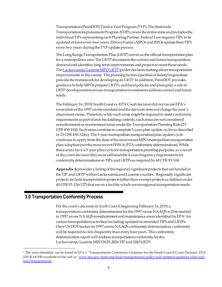Transportation (PennDOT) Twelve Year Program (TYP). The Statewide Transportation Improvement Program (STIP) covers the entire state and includes the individual TIPs representing each Planning Partner. Federal Law requires TIPs to be updated at least every four years. Pennsylvania's MPOs and RPOs update their TIPs every two years during the TYP update process.

The Long Range Transportation Plan (LRTP) serves as the official transportation plan for a metropolitan area. The LRTP documents the current and future transportation demand and identifies long-term improvements and projects to meet those needs. Th[e Lackawanna/Luzerne MPO LRTP](https://www.lltsmpo.com/documents-resources/) guides decision-making about transportation improvements in the county. The planning factors specified in federal regulations provide the framework for developing an LRTP. In addition, PennDOT provides guidance to help MPOs prepare LRTPs, and local policies and plans play a role in LRTP development to ensure transportation investments address current and future needs.

The February 16, 2018, South Coast vs. EPA Court decision did not vacate EPA's revocation of the 1997 ozone standard and the decision does not change the area's attainment status. Therefore, while such areas might be required to meet conformity requirements as part of anti-backsliding controls, such areas are not considered nonattainment or maintenance areas under the Transportation Planning Rule (23 CFR 450.104). Such areas continue to complete 5-year plan update cycles as described in 23 CFR 450.324(c). The 5-year metropolitan transportation plan update cycle continues to apply from the date of the most recent MPO metropolitan transportation plan adoption (not the most recent FHWA/FTA conformity determination). While these areas have a 5-year plan cycle for transportation planning purposes, as a result of the court decision they must still meet the 4-year frequency requirements for conformity determinations on TIPs and LRTPsas required by 40 CFR 93.104.

**Appendix A**provides a listing of the regional significant projects that are funded in the TIP and LRTP within Lackawanna and Luzerne counties. Regionally significant projects include transportation projects (other than exempt projects as defined under 40 CFR 93.126-127) that areon a facility which serves regional transportation needs.

### <span id="page-5-0"></span>**3.0 Transportation Conformity Process**

Per the court's decision in *South Coast II*, beginning February 16, 2019, a transportation conformity determination for the 1997 ozone NAAQS will be needed in [1](#page-5-1)997 ozone NAAQS nonattainment and maintenance areas identified by EPA<sup>1</sup> for certain transportation activities, including updated or amended TIPs and LRTPs. Once US DOT makes its 1997 ozone NAAQS conformity determination, conformity will be required no less frequently than every four years. This conformity determination report will address transportation conformity for the Lackawanna/LuzerneMPO2023-2026 TIP and 2045 LRTP.

<span id="page-5-1"></span><sup>1</sup> The areas identified can be found in EPA's "Transportation Conformity Guidance for the South Coast II Court Decision, EPA420-B-18-050, available on the web at: [www.epa.gov/state-and-local-transportation/policy-and-technical-guidance-state-and](http://www.epa.gov/state-and-local-transportation/policy-and-technical-guidance-state-and-local-transportation)[local-transportation .](http://www.epa.gov/state-and-local-transportation/policy-and-technical-guidance-state-and-local-transportation)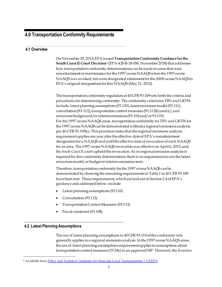### **4.0 Transportation Conformity Requirements**

### **4.1 Overview**

On November 29, 2018, EPA issued **Transportation Conformity Guidance for the South Coast II Court Decision**[2](#page-6-0) (EPA-420-B-18-050, November 2018) that addresses how transportation conformity determinations can be made in areas that were nonattainment or maintenance for the 1997 ozone NAAQS when the 1997 ozone NAAQS was revoked, but were designated attainment for the 2008 ozone NAAQSin EPA's original designations for this NAAQS (May 21, 2012).

The transportation conformity regulation at 40 CFR 93.109 sets forth the criteria and procedures for determining conformity. The conformity criteria forTIPs and LRTPs include: latest planning assumptions (93.110), latest emissions model (93.111), consultation (93.112), transportation control measures (93.113(b) and (c), and emissions budget and/or interim emissions (93.118 and/or 93.119). For the 1997 ozone NAAQS areas, transportation conformity for TIPs and LRTPs for the 1997 ozone NAAQS can be demonstrated without a regional emissions analysis, per 40 CFR 93.109(c). This provision states that the regional emissions analysis requirement applies one year after the effective date of EPA's nonattainment designation for a NAAQS and until the effective date of revocation of such NAAQS for an area. The 1997 ozone NAAQS revocation was effective on April 6, 2015, and the *South Coast II* court upheld the revocation. As no regional emission analysis is required for this conformity determination, there is no requirement to use the latest emissions model, or budget or interim emissions tests.

Therefore, transportation conformity for the 1997 ozone NAAQS can be demonstrated by showing the remaining requirements in Table 1 in 40 CFR 93.109 have been met. These requirements, whichare laid out in Section 2.4 of EPA's guidance and addressed below, include:

- Latest planning assumptions (93.110)
- Consultation (93.112)
- Transportation Control Measures (93.113)
- Fiscal constraint (93.108)

### **4.2 Latest Planning Assumptions**

The use of latest planning assumptions in 40 CFR 93.110 of the conformity rule generally applies to a regional emissions analysis. In the 1997 ozone NAAQS areas, the use of latest planning assumptions requirement applies to assumptions about transportation control measures (TCMs) in an approved SIP. However, the*Scranton-*

<span id="page-6-0"></span><sup>&</sup>lt;sup>2</sup> Available from [Policy and Technical Guidance for State and Local Transportation | US EPA](https://www.epa.gov/state-and-local-transportation/policy-and-technical-guidance-state-and-local-transportation)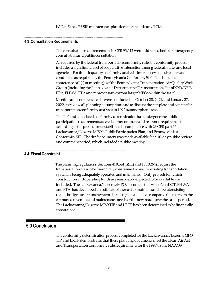*Wilkes-Barre, PA*SIP maintenance plan does not include any TCMs.

### **4.3 Consultation Requirements**

The consultation requirements in 40 CFR 93.112 were addressed both for interagency consultation and public consultation.

As required by the federal transportation conformity rule, the conformity process includes a significant level of cooperative interaction among federal, state, and local agencies. For this air quality conformity analysis, interagency consultation was conducted as required by the Pennsylvania Conformity SIP. This included conference call(s) or meeting(s) of the Pennsylvania Transportation-Air Quality Work Group (including the Pennsylvania Department of Transportation (PennDOT), DEP, EPA, FHWA, FTA and representatives from larger MPOs within the state).

Meeting and conference calls were conducted on October 28, 2021, and January 27, 2022,to review all planning assumptions and to discuss the template and content for transportation conformity analyses in 1997 ozone orphan areas.

TheTIP and associated conformity determination has undergone the public participation requirements as well as the comment and response requirements according to the procedures established in compliance with 23 CFR part 450, Lackawanna/Luzerne MPO's Public Participation Plan, and Pennsylvania's Conformity SIP. The draft document was made available for a 30-day public review and comment period, which included a public meeting.

### **4.4 Fiscal Constraint**

The planning regulations, Sections 450.324(f)(11) and 450.326(j), require the transportation plan to be financially constrained while the existing transportation system is being adequately operated and maintained. Only projects for which construction and operating funds are reasonably expected to be available are included. The Lackawanna/Luzerne MPO,in conjunction with PennDOT, FHWA and FTA, has developed an estimate of the cost to maintain and operate existing roads, bridges and transit systems in the region and have compared the cost with the estimated revenues and maintenance needs of the new roads over the same period. The Lackawanna/Luzerne MPOTIP and LRTP has been determined to be financially constrained.

### <span id="page-7-0"></span>**5.0 Conclusion**

The conformity determination process completed for the Lackawanna/Luzerne MPO TIP and LRTP demonstrates that these planning documents meet the Clean Air Act and Transportation Conformity rule requirements for the 1997 ozone NAAQS.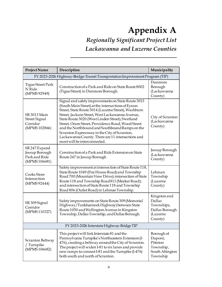## **Appendix A** *Regionally Significant Project List Lackawanna and Luzerne Counties*

| Project Name                                                                 | Description                                                                                                                                                                                                                                                                                                                                                                                                                                                                                                      | Municipality                                                                  |  |  |  |
|------------------------------------------------------------------------------|------------------------------------------------------------------------------------------------------------------------------------------------------------------------------------------------------------------------------------------------------------------------------------------------------------------------------------------------------------------------------------------------------------------------------------------------------------------------------------------------------------------|-------------------------------------------------------------------------------|--|--|--|
| FY 2023-2026 Highway-Bridge-Transit Transportation Improvement Program (TIP) |                                                                                                                                                                                                                                                                                                                                                                                                                                                                                                                  |                                                                               |  |  |  |
| <b>Tigue Street Park</b><br>N Ride<br>(MPMS 92949)                           | Construction of a Park and Ride on State Route 8002<br>(Tigue Street) in Dunmore Borough.                                                                                                                                                                                                                                                                                                                                                                                                                        | Dunmore<br>Borough<br>(Lackawanna<br>County)                                  |  |  |  |
| <b>SR 3013 Main</b><br><b>Street Signal</b><br>Corridor<br>(MPMS 102866)     | Signal and safety improvements on State Route 3013<br>(South Main Street) at the intersections of Eynon<br>Street, State Route 3014 (Luzerne Street), Washburn<br>Street, Jackson Street, West Lackawanna Avenue,<br>State Route 3020 (West Linden Street), Swetland<br>Street, Oram Street, Providence Road, Wood Street<br>and the Northbound and Southbound Ramps on the<br>Scranton Expressway in the City of Scranton,<br>Lackawanna County. There are 11 intersections and<br>most will be interconnected. | City of Scranton<br>(Lackawanna<br>County)                                    |  |  |  |
| SR 247 Expand<br>Jessup Borough<br>Park and Ride<br>(MPMS 106681)            | Construction of a Park and Ride Extension on State<br>Route 247 in Jessup Borough                                                                                                                                                                                                                                                                                                                                                                                                                                | Jessup Borough<br>(Lackawanna<br>County)                                      |  |  |  |
| Cooks Store<br>Intersection<br>(MPMS 92444)                                  | Safety improvement at intersection of State Route 118,<br>State Route 1049 (Fire House Road) and Township<br>Road 700 (Mountain View Drive); intersection of State<br>Route 118 and Township Road 811 (Meeker Road);<br>and intersection of State Route 118 and Township<br>Road 806 (Outlet Road) in Lehman Township.                                                                                                                                                                                           | Lehman<br>Township<br>(Luzerne<br>County)                                     |  |  |  |
| SR 309 Signal<br>Corridor<br>(MPMS 110327)                                   | Safety improvements on State Route 309 (Memorial<br>Highway/Tunkhannock Highway) between State<br>Route 1050 and Wellington Avenue in Kingston<br>Township, Dallas Township, and Dallas Borough.                                                                                                                                                                                                                                                                                                                 | Kingston and<br>Dallas<br>Townships,<br>Dallas Borough<br>(Luzerne<br>County) |  |  |  |
| FY 2023-2026 Interstate Highway-Bridge TIP                                   |                                                                                                                                                                                                                                                                                                                                                                                                                                                                                                                  |                                                                               |  |  |  |
| Scranton Beltway<br>/ Turnpike<br>(MPMS 106682)                              | This project will link Interstate 81 and the<br>Pennsylvania Turnpike's Northeastern Extension (I-<br>476), creating a beltway around the City of Scranton.<br>The project will widen I-81 to six lanes and provide<br>new ramps to connect I-81 and the Turnpike (I-476)<br>both south and north of Scranton.                                                                                                                                                                                                   | Borough of<br>Dupont,<br>Pittston<br>Township,<br>South Abington<br>Township  |  |  |  |